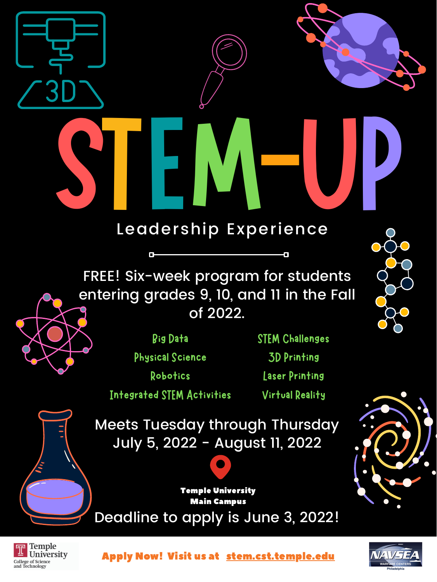



of 2022.







Deadline to apply is June 3, 2022! Main Campus

Apply Now! Visit us at [stem.cst.temple.edu](http://stem.cst.temple.edu/)



Temple University



Big Data Physical Science Robotics Integrated STEM Activities

STEM Challenges 3D Printing Laser Printing Virtual Reality